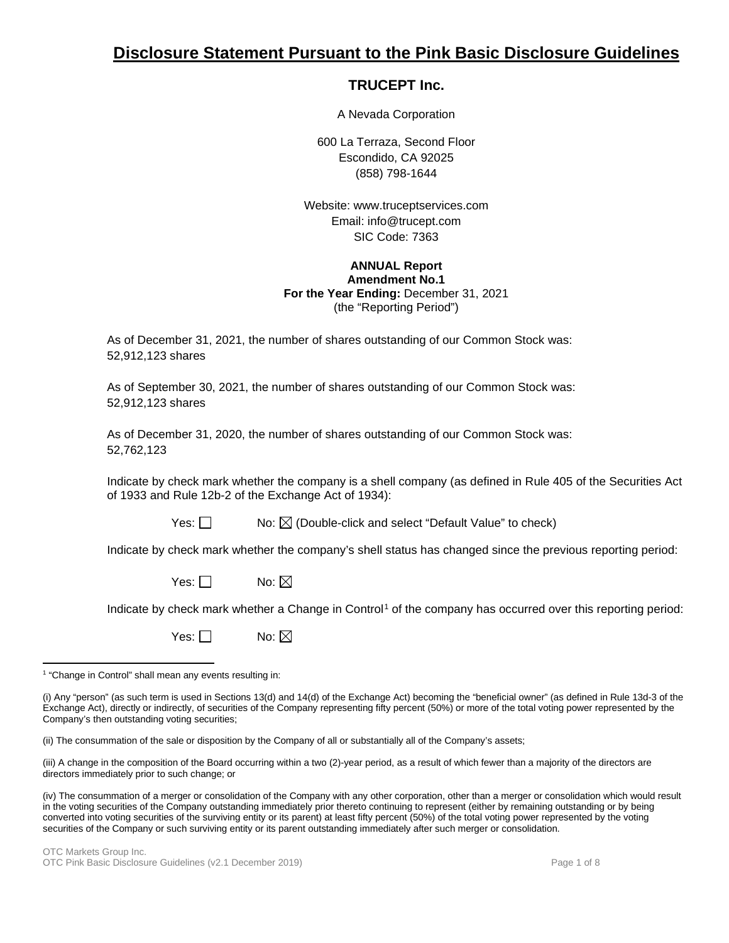# **Disclosure Statement Pursuant to the Pink Basic Disclosure Guidelines**

## **TRUCEPT Inc.**

A Nevada Corporation

600 La Terraza, Second Floor Escondido, CA 92025 (858) 798-1644

Website: www.truceptservices.com Email: info@trucept.com SIC Code: 7363

## **ANNUAL Report Amendment No.1 For the Year Ending:** December 31, 2021 (the "Reporting Period")

As of December 31, 2021, the number of shares outstanding of our Common Stock was: 52,912,123 shares

As of September 30, 2021, the number of shares outstanding of our Common Stock was: 52,912,123 shares

As of December 31, 2020, the number of shares outstanding of our Common Stock was: 52,762,123

Indicate by check mark whether the company is a shell company (as defined in Rule 405 of the Securities Act of 1933 and Rule 12b-2 of the Exchange Act of 1934):

Yes:  $\Box$  No:  $\boxtimes$  (Double-click and select "Default Value" to check)

Indicate by check mark whether the company's shell status has changed since the previous reporting period:

Yes:  $\Box$  No:  $\boxtimes$ 

Indicate by check mark whether a Change in Control<sup>[1](#page-0-0)</sup> of the company has occurred over this reporting period:

Yes:  $\Box$  No:  $\boxtimes$ 

(ii) The consummation of the sale or disposition by the Company of all or substantially all of the Company's assets;

(iii) A change in the composition of the Board occurring within a two (2)-year period, as a result of which fewer than a majority of the directors are directors immediately prior to such change; or

(iv) The consummation of a merger or consolidation of the Company with any other corporation, other than a merger or consolidation which would result in the voting securities of the Company outstanding immediately prior thereto continuing to represent (either by remaining outstanding or by being converted into voting securities of the surviving entity or its parent) at least fifty percent (50%) of the total voting power represented by the voting securities of the Company or such surviving entity or its parent outstanding immediately after such merger or consolidation.

<span id="page-0-0"></span><sup>&</sup>lt;sup>1</sup> "Change in Control" shall mean any events resulting in:

<sup>(</sup>i) Any "person" (as such term is used in Sections 13(d) and 14(d) of the Exchange Act) becoming the "beneficial owner" (as defined in Rule 13d-3 of the Exchange Act), directly or indirectly, of securities of the Company representing fifty percent (50%) or more of the total voting power represented by the Company's then outstanding voting securities;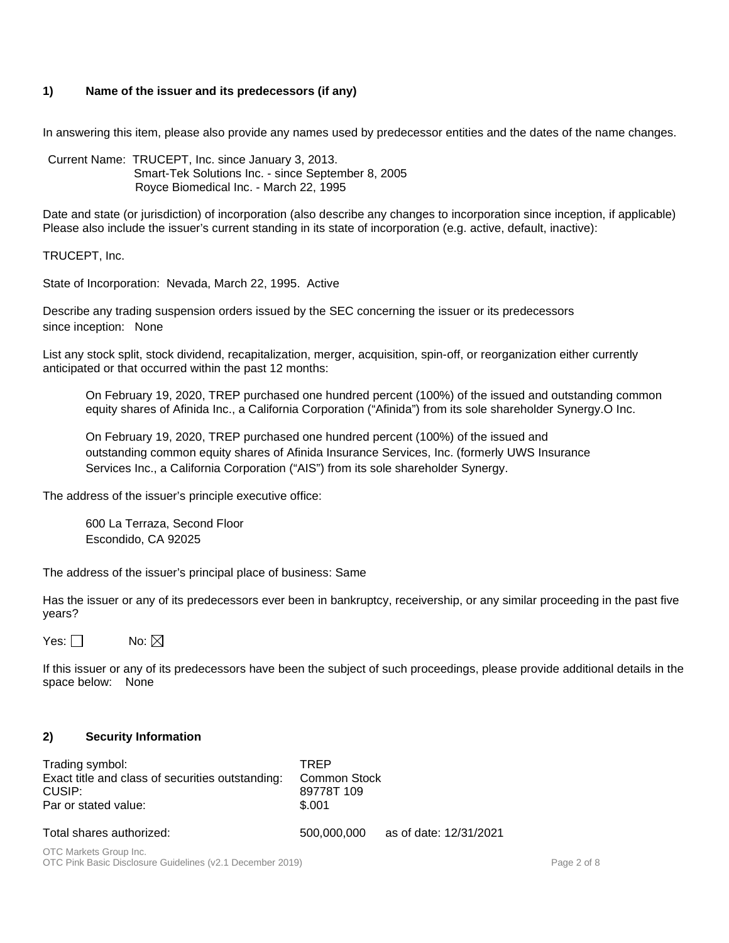## **1) Name of the issuer and its predecessors (if any)**

In answering this item, please also provide any names used by predecessor entities and the dates of the name changes.

Current Name: TRUCEPT, Inc. since January 3, 2013. Smart-Tek Solutions Inc. - since September 8, 2005 Royce Biomedical Inc. - March 22, 1995

Date and state (or jurisdiction) of incorporation (also describe any changes to incorporation since inception, if applicable) Please also include the issuer's current standing in its state of incorporation (e.g. active, default, inactive):

TRUCEPT, Inc.

State of Incorporation: Nevada, March 22, 1995. Active

Describe any trading suspension orders issued by the SEC concerning the issuer or its predecessors since inception: None

List any stock split, stock dividend, recapitalization, merger, acquisition, spin-off, or reorganization either currently anticipated or that occurred within the past 12 months:

On February 19, 2020, TREP purchased one hundred percent (100%) of the issued and outstanding common equity shares of Afinida Inc., a California Corporation ("Afinida") from its sole shareholder Synergy.O Inc.

On February 19, 2020, TREP purchased one hundred percent (100%) of the issued and outstanding common equity shares of Afinida Insurance Services, Inc. (formerly UWS Insurance Services Inc., a California Corporation ("AIS") from its sole shareholder Synergy.

The address of the issuer's principle executive office:

600 La Terraza, Second Floor Escondido, CA 92025

The address of the issuer's principal place of business: Same

Has the issuer or any of its predecessors ever been in bankruptcy, receivership, or any similar proceeding in the past five years?

Yes:  $\Box$  No:  $\boxtimes$ 

If this issuer or any of its predecessors have been the subject of such proceedings, please provide additional details in the space below: None

## **2) Security Information**

| Trading symbol:<br>Exact title and class of securities outstanding:<br>CUSIP:<br>Par or stated value: | <b>TRFP</b><br>Common Stock<br>89778T 109<br>\$.001 |                        |
|-------------------------------------------------------------------------------------------------------|-----------------------------------------------------|------------------------|
| Total shares authorized:                                                                              | 500,000,000                                         | as of date: 12/31/2021 |
| OTC Markets Group Inc.                                                                                |                                                     |                        |

OTC Pink Basic Disclosure Guidelines (v2.1 December 2019) **Page 2 of 8** Page 2 of 8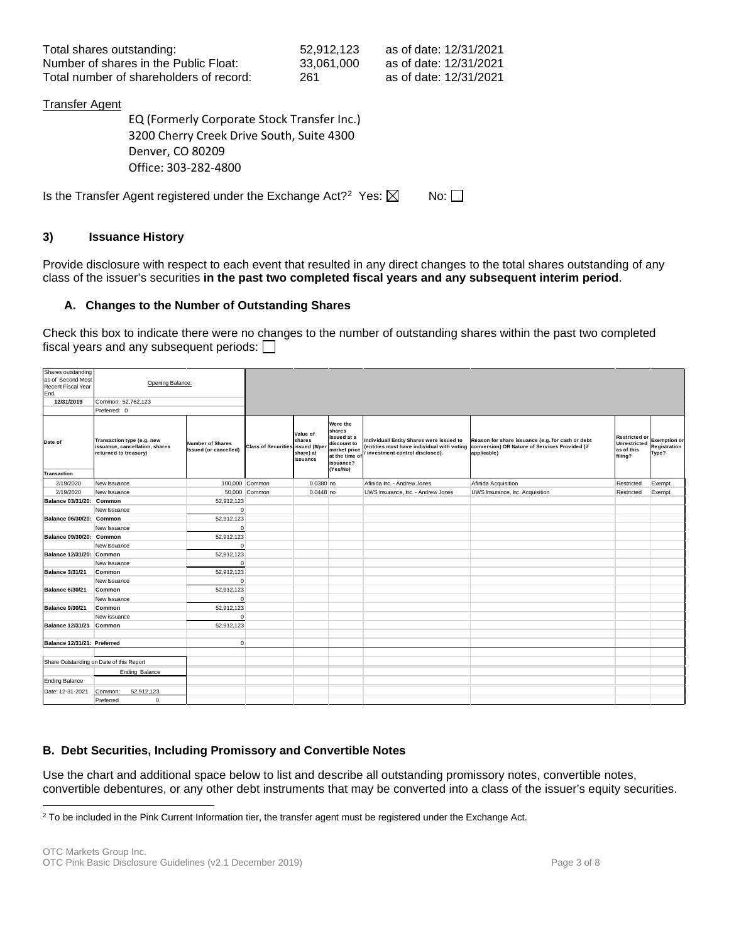| Total shares outstanding:               | 52.912.123 | as of date: 12/31/2021 |
|-----------------------------------------|------------|------------------------|
| Number of shares in the Public Float:   | 33.061.000 | as of date: 12/31/2021 |
| Total number of shareholders of record: | 261        | as of date: 12/31/2021 |

#### **Transfer Agent**

EQ (Formerly Corporate Stock Transfer Inc.) 3200 Cherry Creek Drive South, Suite 4300 Denver, CO 80209 Office: 303-282-4800

Is the Transfer Agent registered under the Exchange Act?<sup>2</sup> Yes:  $\boxtimes$  No:  $\square$ 

## **3) Issuance History**

Provide disclosure with respect to each event that resulted in any direct changes to the total shares outstanding of any class of the issuer's securities **in the past two completed fiscal years and any subsequent interim period**.

#### **A. Changes to the Number of Outstanding Shares**

Check this box to indicate there were no changes to the number of outstanding shares within the past two completed fiscal years and any subsequent periods:  $\Box$ 

| Shares outstanding<br>as of Second Most<br>Recent Fiscal Year<br>End. | Opening Balance:                                                                      |                                           |                                   |                                             |                                                                                                             |                                                                                                                         |                                                                                                                   |                                                               |                                              |
|-----------------------------------------------------------------------|---------------------------------------------------------------------------------------|-------------------------------------------|-----------------------------------|---------------------------------------------|-------------------------------------------------------------------------------------------------------------|-------------------------------------------------------------------------------------------------------------------------|-------------------------------------------------------------------------------------------------------------------|---------------------------------------------------------------|----------------------------------------------|
| 12/31/2019                                                            | Common: 52,762,123                                                                    |                                           |                                   |                                             |                                                                                                             |                                                                                                                         |                                                                                                                   |                                                               |                                              |
|                                                                       | Preferred: 0                                                                          |                                           |                                   |                                             |                                                                                                             |                                                                                                                         |                                                                                                                   |                                                               |                                              |
| Date of                                                               | Transaction type (e.g. new<br>issuance, cancellation, shares<br>returned to treasury) | Number of Shares<br>Issued (or cancelled) | Class of Securities issued (\$/pe | Value of<br>shares<br>share) at<br>Issuance | Were the<br>shares<br>issued at a<br>discount to<br>market price<br>at the time of<br>issuance?<br>(Yes/No) | ndividual/ Entity Shares were issued to<br>(entities must have individual with voting<br>investment control disclosed). | Reason for share issuance (e.g. for cash or debt<br>conversion) OR Nature of Services Provided (if<br>applicable) | Restricted or<br><b>Unrestricted</b><br>as of this<br>filing? | <b>Exemption or</b><br>Registration<br>Type? |
| <b>Transaction</b>                                                    |                                                                                       |                                           |                                   |                                             |                                                                                                             |                                                                                                                         |                                                                                                                   |                                                               |                                              |
| 2/19/2020                                                             | New Issuance                                                                          |                                           | 100,000 Common                    | $0.0380$ no                                 |                                                                                                             | Afinida Inc. - Andrew Jones                                                                                             | Afinida Acquisition                                                                                               | Restricted                                                    | Exempt                                       |
| 2/19/2020                                                             | New Issuance                                                                          |                                           | 50,000 Common                     | $0.0448$ no                                 |                                                                                                             | UWS Insurance, Inc. - Andrew Jones                                                                                      | UWS Insurance, Inc. Acquisition                                                                                   | Restricted                                                    | Exempt                                       |
| Balance 03/31/20: Common                                              |                                                                                       | 52,912,123                                |                                   |                                             |                                                                                                             |                                                                                                                         |                                                                                                                   |                                                               |                                              |
|                                                                       | New Issuance                                                                          | 0                                         |                                   |                                             |                                                                                                             |                                                                                                                         |                                                                                                                   |                                                               |                                              |
| Balance 06/30/20: Common                                              |                                                                                       | 52,912,123                                |                                   |                                             |                                                                                                             |                                                                                                                         |                                                                                                                   |                                                               |                                              |
|                                                                       | New Issuance                                                                          | $\mathbf 0$                               |                                   |                                             |                                                                                                             |                                                                                                                         |                                                                                                                   |                                                               |                                              |
| Balance 09/30/20: Common                                              |                                                                                       | 52,912,123                                |                                   |                                             |                                                                                                             |                                                                                                                         |                                                                                                                   |                                                               |                                              |
|                                                                       | New Issuance                                                                          | $\mathbf 0$                               |                                   |                                             |                                                                                                             |                                                                                                                         |                                                                                                                   |                                                               |                                              |
| Balance 12/31/20: Common                                              |                                                                                       | 52,912,123                                |                                   |                                             |                                                                                                             |                                                                                                                         |                                                                                                                   |                                                               |                                              |
|                                                                       | New Issuance                                                                          | $\mathbf 0$                               |                                   |                                             |                                                                                                             |                                                                                                                         |                                                                                                                   |                                                               |                                              |
| <b>Balance 3/31/21</b>                                                | Common                                                                                | 52,912,123                                |                                   |                                             |                                                                                                             |                                                                                                                         |                                                                                                                   |                                                               |                                              |
|                                                                       | New Issuance                                                                          | $\mathbf 0$                               |                                   |                                             |                                                                                                             |                                                                                                                         |                                                                                                                   |                                                               |                                              |
| <b>Balance 6/30/21</b>                                                | Common                                                                                | 52,912,123                                |                                   |                                             |                                                                                                             |                                                                                                                         |                                                                                                                   |                                                               |                                              |
|                                                                       | New Issuance                                                                          | $\mathbf 0$                               |                                   |                                             |                                                                                                             |                                                                                                                         |                                                                                                                   |                                                               |                                              |
| Balance 9/30/21                                                       | Common                                                                                | 52,912,123                                |                                   |                                             |                                                                                                             |                                                                                                                         |                                                                                                                   |                                                               |                                              |
|                                                                       | New issuance                                                                          | $\mathbf 0$                               |                                   |                                             |                                                                                                             |                                                                                                                         |                                                                                                                   |                                                               |                                              |
| Balance 12/31/21 Common                                               |                                                                                       | 52,912,123                                |                                   |                                             |                                                                                                             |                                                                                                                         |                                                                                                                   |                                                               |                                              |
|                                                                       |                                                                                       |                                           |                                   |                                             |                                                                                                             |                                                                                                                         |                                                                                                                   |                                                               |                                              |
| Balance 12/31/21: Preferred                                           |                                                                                       | $\mathbf 0$                               |                                   |                                             |                                                                                                             |                                                                                                                         |                                                                                                                   |                                                               |                                              |
|                                                                       |                                                                                       |                                           |                                   |                                             |                                                                                                             |                                                                                                                         |                                                                                                                   |                                                               |                                              |
|                                                                       | Share Outstanding on Date of this Report                                              |                                           |                                   |                                             |                                                                                                             |                                                                                                                         |                                                                                                                   |                                                               |                                              |
|                                                                       | Ending Balance                                                                        |                                           |                                   |                                             |                                                                                                             |                                                                                                                         |                                                                                                                   |                                                               |                                              |
| <b>Ending Balance</b>                                                 |                                                                                       |                                           |                                   |                                             |                                                                                                             |                                                                                                                         |                                                                                                                   |                                                               |                                              |
| Date: 12-31-2021                                                      | 52,912,123<br>Common:                                                                 |                                           |                                   |                                             |                                                                                                             |                                                                                                                         |                                                                                                                   |                                                               |                                              |
|                                                                       | $\mathbf 0$<br>Preferred                                                              |                                           |                                   |                                             |                                                                                                             |                                                                                                                         |                                                                                                                   |                                                               |                                              |

## **B. Debt Securities, Including Promissory and Convertible Notes**

Use the chart and additional space below to list and describe all outstanding promissory notes, convertible notes, convertible debentures, or any other debt instruments that may be converted into a class of the issuer's equity securities.

<span id="page-2-0"></span><sup>&</sup>lt;sup>2</sup> To be included in the Pink Current Information tier, the transfer agent must be registered under the Exchange Act.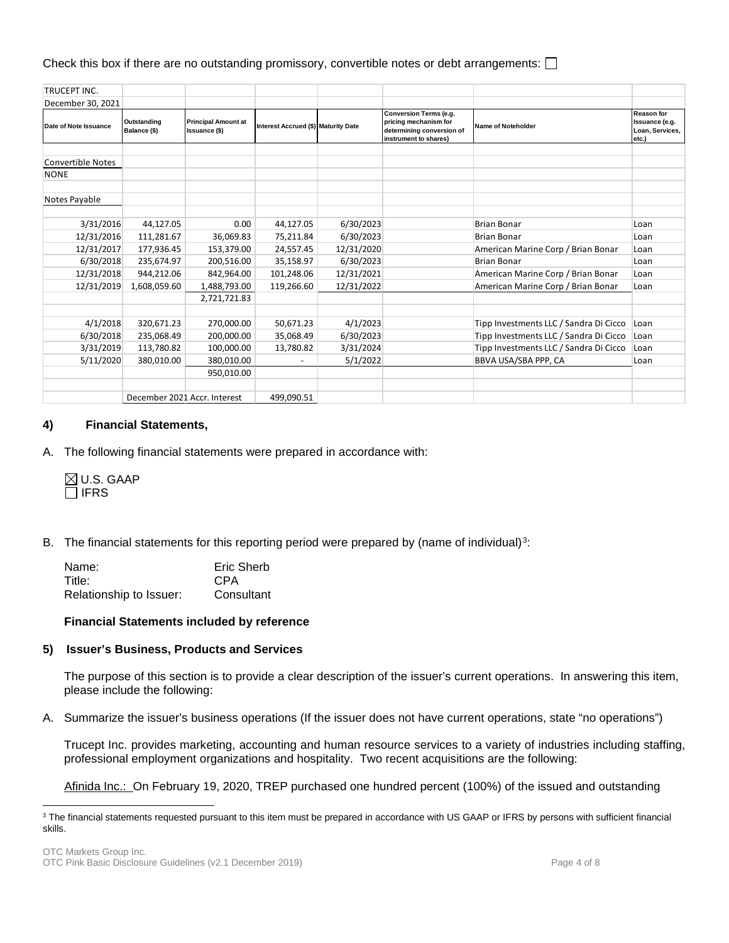Check this box if there are no outstanding promissory, convertible notes or debt arrangements:  $\square$ 

| <b>TRUCEPT INC.</b>   |                             |                                                    |                                     |            |                                                                                                              |                                        |                                                                 |
|-----------------------|-----------------------------|----------------------------------------------------|-------------------------------------|------------|--------------------------------------------------------------------------------------------------------------|----------------------------------------|-----------------------------------------------------------------|
| December 30, 2021     |                             |                                                    |                                     |            |                                                                                                              |                                        |                                                                 |
| Date of Note Issuance | Outstanding<br>Balance (\$) | <b>Principal Amount at</b><br><b>Issuance (\$)</b> | Interest Accrued (\$) Maturity Date |            | <b>Conversion Terms (e.g.</b><br>pricing mechanism for<br>determining conversion of<br>instrument to shares) | <b>Name of Noteholder</b>              | <b>Reason for</b><br>Issuance (e.g.<br>Loan, Services,<br>etc.) |
|                       |                             |                                                    |                                     |            |                                                                                                              |                                        |                                                                 |
| Convertible Notes     |                             |                                                    |                                     |            |                                                                                                              |                                        |                                                                 |
| <b>NONE</b>           |                             |                                                    |                                     |            |                                                                                                              |                                        |                                                                 |
|                       |                             |                                                    |                                     |            |                                                                                                              |                                        |                                                                 |
| Notes Payable         |                             |                                                    |                                     |            |                                                                                                              |                                        |                                                                 |
|                       |                             |                                                    |                                     |            |                                                                                                              |                                        |                                                                 |
| 3/31/2016             | 44,127.05                   | 0.00                                               | 44,127.05                           | 6/30/2023  |                                                                                                              | <b>Brian Bonar</b>                     | Loan                                                            |
| 12/31/2016            | 111,281.67                  | 36,069.83                                          | 75,211.84                           | 6/30/2023  |                                                                                                              | <b>Brian Bonar</b>                     | Loan                                                            |
| 12/31/2017            | 177,936.45                  | 153,379.00                                         | 24,557.45                           | 12/31/2020 |                                                                                                              | American Marine Corp / Brian Bonar     | Loan                                                            |
| 6/30/2018             | 235,674.97                  | 200,516.00                                         | 35,158.97                           | 6/30/2023  |                                                                                                              | <b>Brian Bonar</b>                     | Loan                                                            |
| 12/31/2018            | 944,212.06                  | 842,964.00                                         | 101,248.06                          | 12/31/2021 |                                                                                                              | American Marine Corp / Brian Bonar     | Loan                                                            |
| 12/31/2019            | 1,608,059.60                | 1,488,793.00                                       | 119,266.60                          | 12/31/2022 |                                                                                                              | American Marine Corp / Brian Bonar     | Loan                                                            |
|                       |                             | 2,721,721.83                                       |                                     |            |                                                                                                              |                                        |                                                                 |
|                       |                             |                                                    |                                     |            |                                                                                                              |                                        |                                                                 |
| 4/1/2018              | 320,671.23                  | 270,000.00                                         | 50,671.23                           | 4/1/2023   |                                                                                                              | Tipp Investments LLC / Sandra Di Cicco | Loan                                                            |
| 6/30/2018             | 235,068.49                  | 200,000.00                                         | 35,068.49                           | 6/30/2023  |                                                                                                              | Tipp Investments LLC / Sandra Di Cicco | Loan                                                            |
| 3/31/2019             | 113,780.82                  | 100,000.00                                         | 13,780.82                           | 3/31/2024  |                                                                                                              | Tipp Investments LLC / Sandra Di Cicco | Loan                                                            |
| 5/11/2020             | 380,010.00                  | 380,010.00                                         |                                     | 5/1/2022   |                                                                                                              | BBVA USA/SBA PPP, CA                   | Loan                                                            |
|                       |                             | 950,010.00                                         |                                     |            |                                                                                                              |                                        |                                                                 |
|                       |                             | December 2021 Accr. Interest                       | 499,090.51                          |            |                                                                                                              |                                        |                                                                 |

#### **4) Financial Statements,**

A. The following financial statements were prepared in accordance with:

 $\boxtimes$  U.S. GAAP  $\Box$  IFRS

B. The financial statements for this reporting period were prepared by (name of individual)<sup>3</sup>:

| Name:                   | Eric Sherb |
|-------------------------|------------|
| Title:                  | CPA        |
| Relationship to Issuer: | Consultant |

#### **Financial Statements included by reference**

#### **5) Issuer's Business, Products and Services**

The purpose of this section is to provide a clear description of the issuer's current operations. In answering this item, please include the following:

A. Summarize the issuer's business operations (If the issuer does not have current operations, state "no operations")

Trucept Inc. provides marketing, accounting and human resource services to a variety of industries including staffing, professional employment organizations and hospitality. Two recent acquisitions are the following:

Afinida Inc.: On February 19, 2020, TREP purchased one hundred percent (100%) of the issued and outstanding

<span id="page-3-0"></span><sup>&</sup>lt;sup>3</sup> The financial statements requested pursuant to this item must be prepared in accordance with US GAAP or IFRS by persons with sufficient financial skills.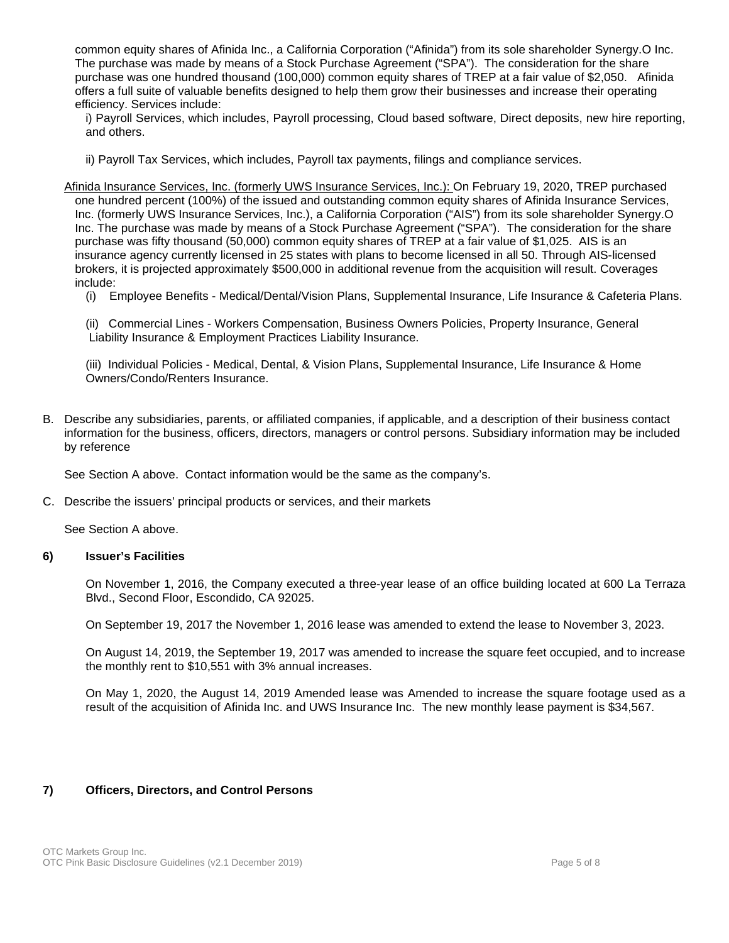common equity shares of Afinida Inc., a California Corporation ("Afinida") from its sole shareholder Synergy.O Inc. The purchase was made by means of a Stock Purchase Agreement ("SPA"). The consideration for the share purchase was one hundred thousand (100,000) common equity shares of TREP at a fair value of \$2,050. Afinida offers a full suite of valuable benefits designed to help them grow their businesses and increase their operating efficiency. Services include:

i) Payroll Services, which includes, Payroll processing, Cloud based software, Direct deposits, new hire reporting, and others.

- ii) Payroll Tax Services, which includes, Payroll tax payments, filings and compliance services.
- Afinida Insurance Services, Inc. (formerly UWS Insurance Services, Inc.): On February 19, 2020, TREP purchased one hundred percent (100%) of the issued and outstanding common equity shares of Afinida Insurance Services, Inc. (formerly UWS Insurance Services, Inc.), a California Corporation ("AIS") from its sole shareholder Synergy.O Inc. The purchase was made by means of a Stock Purchase Agreement ("SPA"). The consideration for the share purchase was fifty thousand (50,000) common equity shares of TREP at a fair value of \$1,025. AIS is an insurance agency currently licensed in 25 states with plans to become licensed in all 50. Through AIS-licensed brokers, it is projected approximately \$500,000 in additional revenue from the acquisition will result. Coverages include:
	- (i) Employee Benefits Medical/Dental/Vision Plans, Supplemental Insurance, Life Insurance & Cafeteria Plans.

(ii) Commercial Lines - Workers Compensation, Business Owners Policies, Property Insurance, General Liability Insurance & Employment Practices Liability Insurance.

(iii) Individual Policies - Medical, Dental, & Vision Plans, Supplemental Insurance, Life Insurance & Home Owners/Condo/Renters Insurance.

B. Describe any subsidiaries, parents, or affiliated companies, if applicable, and a description of their business contact information for the business, officers, directors, managers or control persons. Subsidiary information may be included by reference

See Section A above. Contact information would be the same as the company's.

C. Describe the issuers' principal products or services, and their markets

See Section A above.

## **6) Issuer's Facilities**

On November 1, 2016, the Company executed a three-year lease of an office building located at 600 La Terraza Blvd., Second Floor, Escondido, CA 92025.

On September 19, 2017 the November 1, 2016 lease was amended to extend the lease to November 3, 2023.

On August 14, 2019, the September 19, 2017 was amended to increase the square feet occupied, and to increase the monthly rent to \$10,551 with 3% annual increases.

On May 1, 2020, the August 14, 2019 Amended lease was Amended to increase the square footage used as a result of the acquisition of Afinida Inc. and UWS Insurance Inc. The new monthly lease payment is \$34,567.

## **7) Officers, Directors, and Control Persons**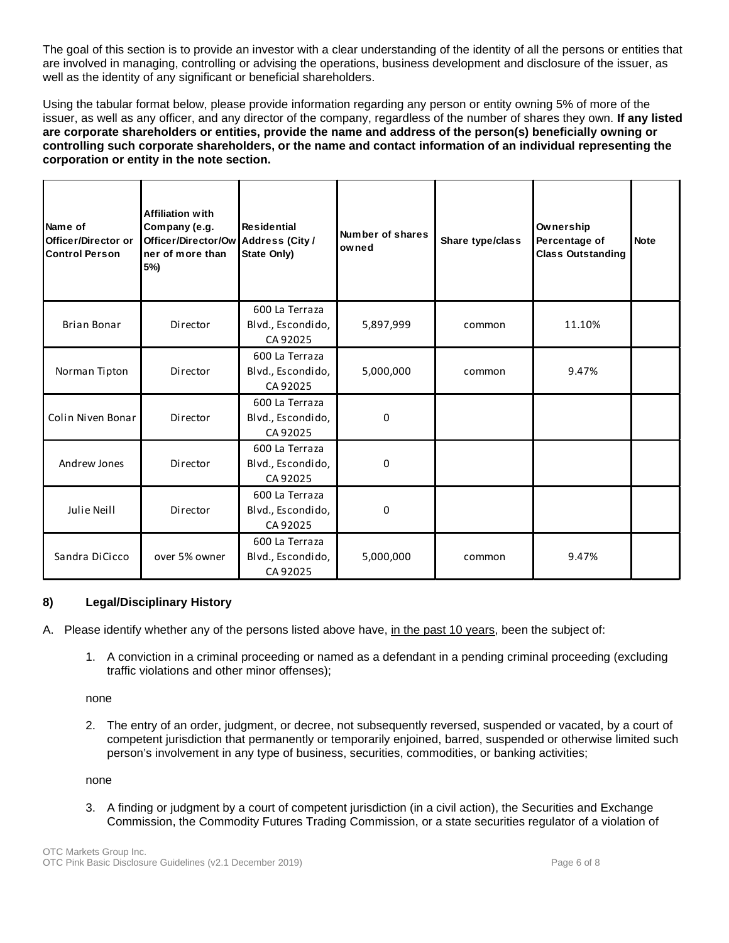The goal of this section is to provide an investor with a clear understanding of the identity of all the persons or entities that are involved in managing, controlling or advising the operations, business development and disclosure of the issuer, as well as the identity of any significant or beneficial shareholders.

Using the tabular format below, please provide information regarding any person or entity owning 5% of more of the issuer, as well as any officer, and any director of the company, regardless of the number of shares they own. **If any listed are corporate shareholders or entities, provide the name and address of the person(s) beneficially owning or controlling such corporate shareholders, or the name and contact information of an individual representing the corporation or entity in the note section.** 

| Name of<br>Officer/Director or<br><b>Control Person</b> | <b>Affiliation with</b><br>Company (e.g.<br>Officer/Director/Ow Address (City /<br>ner of more than<br>5%) | <b>Residential</b><br>State Only)               | Number of shares<br>owned | Share type/class | Ownership<br>Percentage of<br><b>Class Outstanding</b> | <b>Note</b> |
|---------------------------------------------------------|------------------------------------------------------------------------------------------------------------|-------------------------------------------------|---------------------------|------------------|--------------------------------------------------------|-------------|
| <b>Brian Bonar</b>                                      | Director                                                                                                   | 600 La Terraza<br>Blvd., Escondido,<br>CA 92025 | 5,897,999                 | common           | 11.10%                                                 |             |
| Norman Tipton                                           | Director                                                                                                   | 600 La Terraza<br>Blvd., Escondido,<br>CA 92025 | 5,000,000                 | common           | 9.47%                                                  |             |
| Colin Niven Bonar                                       | Director                                                                                                   | 600 La Terraza<br>Blvd., Escondido,<br>CA 92025 | 0                         |                  |                                                        |             |
| Andrew Jones                                            | Director                                                                                                   | 600 La Terraza<br>Blvd., Escondido,<br>CA 92025 | 0                         |                  |                                                        |             |
| Julie Neill                                             | Director                                                                                                   | 600 La Terraza<br>Blvd., Escondido,<br>CA 92025 | 0                         |                  |                                                        |             |
| Sandra DiCicco                                          | over 5% owner                                                                                              | 600 La Terraza<br>Blvd., Escondido,<br>CA 92025 | 5,000,000                 | common           | 9.47%                                                  |             |

## **8) Legal/Disciplinary History**

A. Please identify whether any of the persons listed above have, in the past 10 years, been the subject of:

1. A conviction in a criminal proceeding or named as a defendant in a pending criminal proceeding (excluding traffic violations and other minor offenses);

none

2. The entry of an order, judgment, or decree, not subsequently reversed, suspended or vacated, by a court of competent jurisdiction that permanently or temporarily enjoined, barred, suspended or otherwise limited such person's involvement in any type of business, securities, commodities, or banking activities;

none

3. A finding or judgment by a court of competent jurisdiction (in a civil action), the Securities and Exchange Commission, the Commodity Futures Trading Commission, or a state securities regulator of a violation of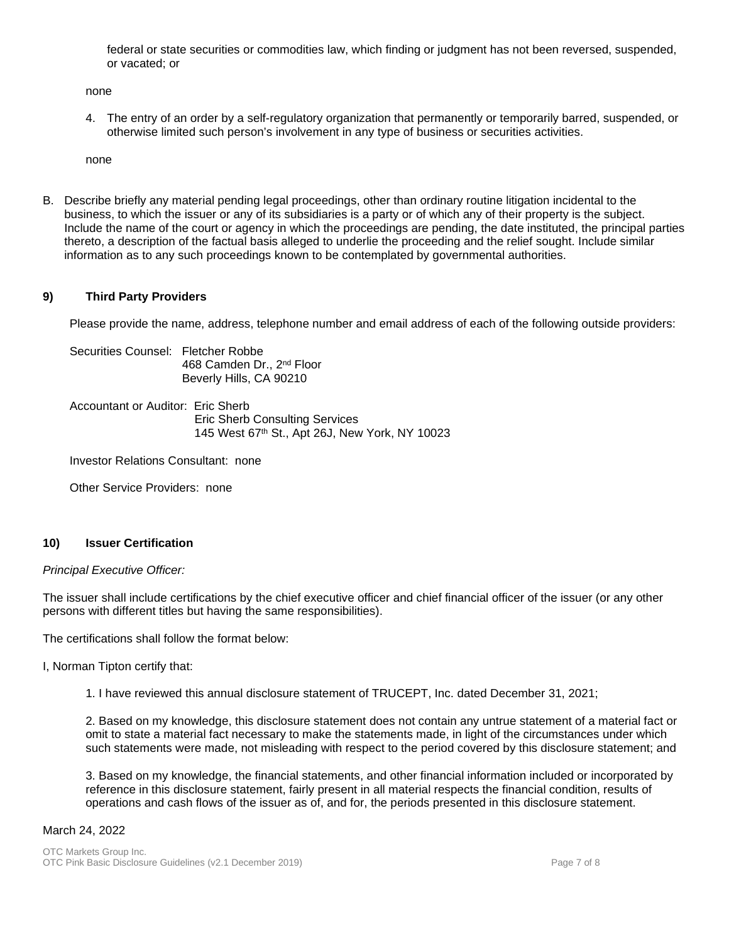federal or state securities or commodities law, which finding or judgment has not been reversed, suspended, or vacated; or

none

4. The entry of an order by a self-regulatory organization that permanently or temporarily barred, suspended, or otherwise limited such person's involvement in any type of business or securities activities.

none

B. Describe briefly any material pending legal proceedings, other than ordinary routine litigation incidental to the business, to which the issuer or any of its subsidiaries is a party or of which any of their property is the subject. Include the name of the court or agency in which the proceedings are pending, the date instituted, the principal parties thereto, a description of the factual basis alleged to underlie the proceeding and the relief sought. Include similar information as to any such proceedings known to be contemplated by governmental authorities.

## **9) Third Party Providers**

Please provide the name, address, telephone number and email address of each of the following outside providers:

Securities Counsel: Fletcher Robbe 468 Camden Dr., 2<sup>nd</sup> Floor Beverly Hills, CA 90210

Accountant or Auditor: Eric Sherb Eric Sherb Consulting Services 145 West 67th St., Apt 26J, New York, NY 10023

Investor Relations Consultant: none

Other Service Providers: none

## **10) Issuer Certification**

#### *Principal Executive Officer:*

The issuer shall include certifications by the chief executive officer and chief financial officer of the issuer (or any other persons with different titles but having the same responsibilities).

The certifications shall follow the format below:

I, Norman Tipton certify that:

1. I have reviewed this annual disclosure statement of TRUCEPT, Inc. dated December 31, 2021;

2. Based on my knowledge, this disclosure statement does not contain any untrue statement of a material fact or omit to state a material fact necessary to make the statements made, in light of the circumstances under which such statements were made, not misleading with respect to the period covered by this disclosure statement; and

3. Based on my knowledge, the financial statements, and other financial information included or incorporated by reference in this disclosure statement, fairly present in all material respects the financial condition, results of operations and cash flows of the issuer as of, and for, the periods presented in this disclosure statement.

#### March 24, 2022